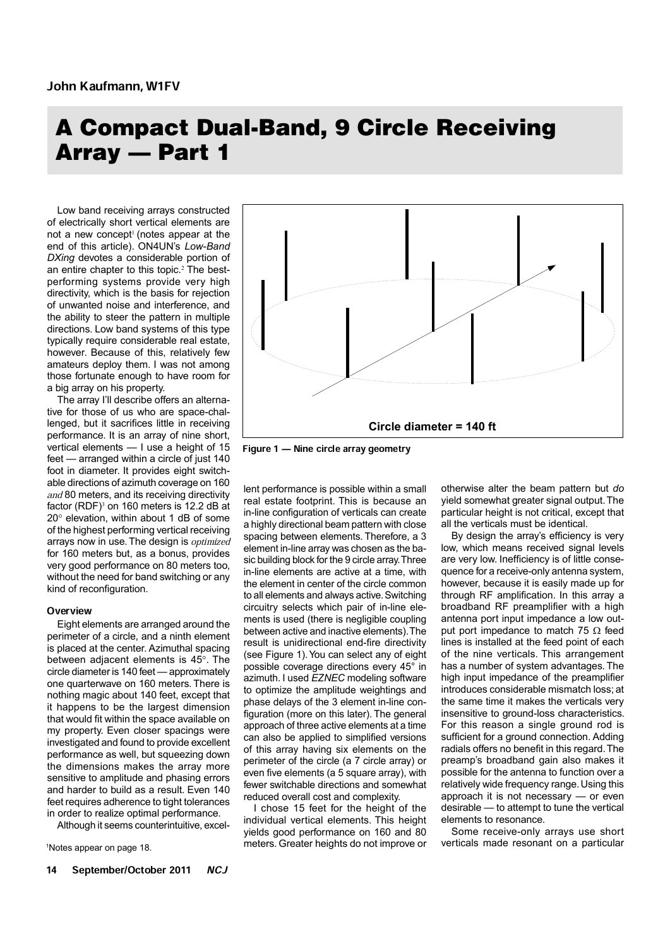# A Compact Dual-Band, 9 Circle Receiving Array — Part 1

Low band receiving arrays constructed of electrically short vertical elements are not a new concept<sup>1</sup> (notes appear at the end of this article). ON4UN's *Low-Band DXing* devotes a considerable portion of an entire chapter to this topic.<sup>2</sup> The bestperforming systems provide very high directivity, which is the basis for rejection of unwanted noise and interference, and the ability to steer the pattern in multiple directions. Low band systems of this type typically require considerable real estate, however. Because of this, relatively few amateurs deploy them. I was not among those fortunate enough to have room for a big array on his property.

The array I'll describe offers an alternative for those of us who are space-challenged, but it sacrifices little in receiving performance. It is an array of nine short, vertical elements — I use a height of 15 feet — arranged within a circle of just 140 foot in diameter. It provides eight switchable directions of azimuth coverage on 160 and 80 meters, and its receiving directivity factor  $(RDF)^3$  on 160 meters is 12.2 dB at 20° elevation, within about 1 dB of some of the highest performing vertical receiving arrays now in use. The design is *optimized* for 160 meters but, as a bonus, provides very good performance on 80 meters too, without the need for band switching or any kind of reconfiguration.

#### **Overview**

Eight elements are arranged around the perimeter of a circle, and a ninth element is placed at the center. Azimuthal spacing between adjacent elements is 45°. The circle diameter is 140 feet — approximately one quarterwave on 160 meters. There is nothing magic about 140 feet, except that it happens to be the largest dimension that would fit within the space available on my property. Even closer spacings were investigated and found to provide excellent performance as well, but squeezing down the dimensions makes the array more sensitive to amplitude and phasing errors and harder to build as a result. Even 140 feet requires adherence to tight tolerances in order to realize optimal performance.

Although it seems counterintuitive, excel-



Figure 1 – Nine circle array geometry

lent performance is possible within a small real estate footprint. This is because an in-line configuration of verticals can create a highly directional beam pattern with close spacing between elements. Therefore, a 3 element in-line array was chosen as the basic building block for the 9 circle array. Three in-line elements are active at a time, with the element in center of the circle common to all elements and always active. Switching circuitry selects which pair of in-line elements is used (there is negligible coupling between active and inactive elements). The result is unidirectional end-fire directivity (see Figure 1). You can select any of eight possible coverage directions every 45° in azimuth. I used *EZNEC* modeling software to optimize the amplitude weightings and phase delays of the 3 element in-line configuration (more on this later). The general approach of three active elements at a time can also be applied to simplified versions of this array having six elements on the perimeter of the circle (a 7 circle array) or even five elements (a 5 square array), with fewer switchable directions and somewhat reduced overall cost and complexity.

I chose 15 feet for the height of the individual vertical elements. This height yields good performance on 160 and 80 <sup>1</sup>Notes appear on page 18. The state of the meters. Greater heights do not improve or verticals made resonant on a particular

otherwise alter the beam pattern but *do* yield somewhat greater signal output. The particular height is not critical, except that all the verticals must be identical.

By design the array's efficiency is very low, which means received signal levels are very low. Inefficiency is of little consequence for a receive-only antenna system, however, because it is easily made up for through RF amplification. In this array a broadband RF preamplifier with a high antenna port input impedance a low output port impedance to match 75  $\Omega$  feed lines is installed at the feed point of each of the nine verticals. This arrangement has a number of system advantages. The high input impedance of the preamplifier introduces considerable mismatch loss; at the same time it makes the verticals very insensitive to ground-loss characteristics. For this reason a single ground rod is sufficient for a ground connection. Adding radials offers no benefit in this regard. The preamp's broadband gain also makes it possible for the antenna to function over a relatively wide frequency range. Using this approach it is not necessary — or even desirable — to attempt to tune the vertical elements to resonance.

Some receive-only arrays use short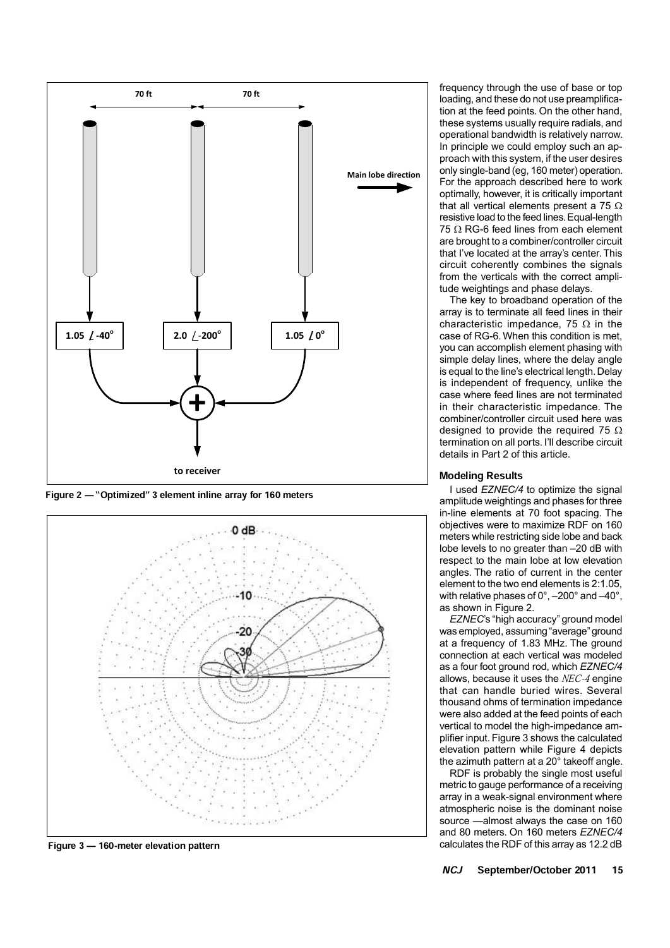

Figure 2 – "Optimized" 3 element inline array for 160 meters



Figure  $3 - 160$ -meter elevation pattern

frequency through the use of base or top loading, and these do not use preamplification at the feed points. On the other hand, these systems usually require radials, and operational bandwidth is relatively narrow. In principle we could employ such an approach with this system, if the user desires only single-band (eg, 160 meter) operation. For the approach described here to work optimally, however, it is critically important that all vertical elements present a 75  $\Omega$ resistive load to the feed lines. Equal-length 75  $\Omega$  RG-6 feed lines from each element are brought to a combiner/controller circuit that I've located at the array's center. This circuit coherently combines the signals from the verticals with the correct amplitude weightings and phase delays.

The key to broadband operation of the array is to terminate all feed lines in their characteristic impedance, 75  $\Omega$  in the case of RG-6. When this condition is met, you can accomplish element phasing with simple delay lines, where the delay angle is equal to the line's electrical length. Delay is independent of frequency, unlike the case where feed lines are not terminated in their characteristic impedance. The combiner/controller circuit used here was designed to provide the required 75  $\Omega$ termination on all ports. I'll describe circuit details in Part 2 of this article.

### Modeling Results

I used *EZNEC/4* to optimize the signal amplitude weightings and phases for three in-line elements at 70 foot spacing. The objectives were to maximize RDF on 160 meters while restricting side lobe and back lobe levels to no greater than –20 dB with respect to the main lobe at low elevation angles. The ratio of current in the center element to the two end elements is 2:1.05, with relative phases of 0°, –200° and –40°, as shown in Figure 2.

*EZNEC*'s "high accuracy" ground model was employed, assuming "average" ground at a frequency of 1.83 MHz. The ground connection at each vertical was modeled as a four foot ground rod, which *EZNEC/4* allows, because it uses the NEC-4 engine that can handle buried wires. Several thousand ohms of termination impedance were also added at the feed points of each vertical to model the high-impedance amplifier input. Figure 3 shows the calculated elevation pattern while Figure 4 depicts the azimuth pattern at a 20° takeoff angle.

RDF is probably the single most useful metric to gauge performance of a receiving array in a weak-signal environment where atmospheric noise is the dominant noise source —almost always the case on 160 and 80 meters. On 160 meters *EZNEC/4*  calculates the RDF of this array as 12.2 dB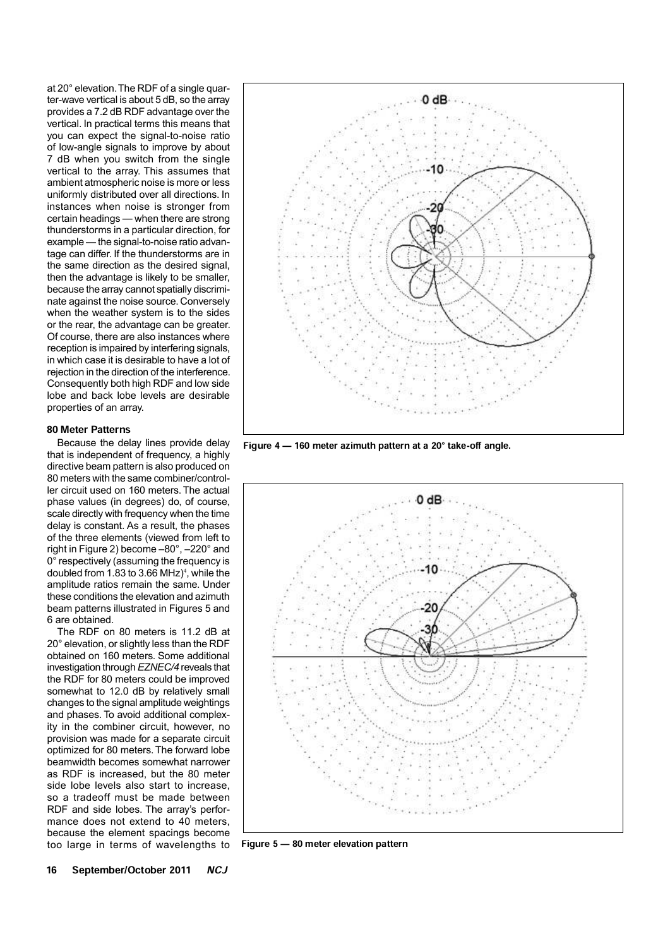at 20° elevation. The RDF of a single quarter-wave vertical is about 5 dB, so the array provides a 7.2 dB RDF advantage over the vertical. In practical terms this means that you can expect the signal-to-noise ratio of low-angle signals to improve by about 7 dB when you switch from the single vertical to the array. This assumes that ambient atmospheric noise is more or less uniformly distributed over all directions. In instances when noise is stronger from certain headings — when there are strong thunderstorms in a particular direction, for example — the signal-to-noise ratio advantage can differ. If the thunderstorms are in the same direction as the desired signal, then the advantage is likely to be smaller, because the array cannot spatially discriminate against the noise source. Conversely when the weather system is to the sides or the rear, the advantage can be greater. Of course, there are also instances where reception is impaired by interfering signals, in which case it is desirable to have a lot of rejection in the direction of the interference. Consequently both high RDF and low side lobe and back lobe levels are desirable properties of an array.

#### 80 Meter Patterns

Because the delay lines provide delay that is independent of frequency, a highly directive beam pattern is also produced on 80 meters with the same combiner/controller circuit used on 160 meters. The actual phase values (in degrees) do, of course, scale directly with frequency when the time delay is constant. As a result, the phases of the three elements (viewed from left to right in Figure 2) become –80°, –220° and 0° respectively (assuming the frequency is doubled from 1.83 to 3.66 MHz)<sup>4</sup>, while the amplitude ratios remain the same. Under these conditions the elevation and azimuth beam patterns illustrated in Figures 5 and 6 are obtained.

The RDF on 80 meters is 11.2 dB at 20° elevation, or slightly less than the RDF obtained on 160 meters. Some additional investigation through *EZNEC/4* reveals that the RDF for 80 meters could be improved somewhat to 12.0 dB by relatively small changes to the signal amplitude weightings and phases. To avoid additional complexity in the combiner circuit, however, no provision was made for a separate circuit optimized for 80 meters. The forward lobe beamwidth becomes somewhat narrower as RDF is increased, but the 80 meter side lobe levels also start to increase, so a tradeoff must be made between RDF and side lobes. The array's performance does not extend to 40 meters, because the element spacings become too large in terms of wavelengths to



Figure  $4 - 160$  meter azimuth pattern at a 20 $^{\circ}$  take-off angle.



Figure  $5 - 80$  meter elevation pattern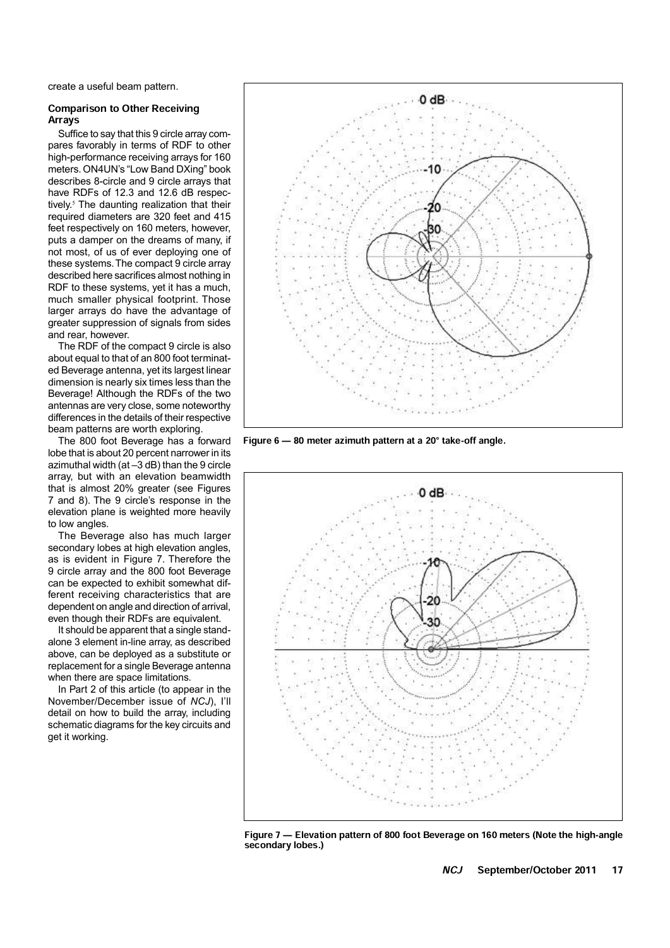create a useful beam pattern.

### Comparison to Other Receiving Arrays

Suffice to say that this 9 circle array compares favorably in terms of RDF to other high-performance receiving arrays for 160 meters. ON4UN's "Low Band DXing" book describes 8-circle and 9 circle arrays that have RDFs of 12.3 and 12.6 dB respectively.<sup>5</sup> The daunting realization that their required diameters are 320 feet and 415 feet respectively on 160 meters, however, puts a damper on the dreams of many, if not most, of us of ever deploying one of these systems. The compact 9 circle array described here sacrifices almost nothing in RDF to these systems, yet it has a much, much smaller physical footprint. Those larger arrays do have the advantage of greater suppression of signals from sides and rear, however.

The RDF of the compact 9 circle is also about equal to that of an 800 foot terminated Beverage antenna, yet its largest linear dimension is nearly six times less than the Beverage! Although the RDFs of the two antennas are very close, some noteworthy differences in the details of their respective beam patterns are worth exploring.

The 800 foot Beverage has a forward lobe that is about 20 percent narrower in its azimuthal width (at –3 dB) than the 9 circle array, but with an elevation beamwidth that is almost 20% greater (see Figures 7 and 8). The 9 circle's response in the elevation plane is weighted more heavily to low angles.

The Beverage also has much larger secondary lobes at high elevation angles, as is evident in Figure 7. Therefore the 9 circle array and the 800 foot Beverage can be expected to exhibit somewhat different receiving characteristics that are dependent on angle and direction of arrival, even though their RDFs are equivalent.

It should be apparent that a single standalone 3 element in-line array, as described above, can be deployed as a substitute or replacement for a single Beverage antenna when there are space limitations.

In Part 2 of this article (to appear in the November/December issue of *NCJ*), I'll detail on how to build the array, including schematic diagrams for the key circuits and get it working.



Figure  $6 - 80$  meter azimuth pattern at a 20 $^{\circ}$  take-off angle.



Figure 7 – Elevation pattern of 800 foot Beverage on 160 meters (Note the high-angle secondary lobes.)